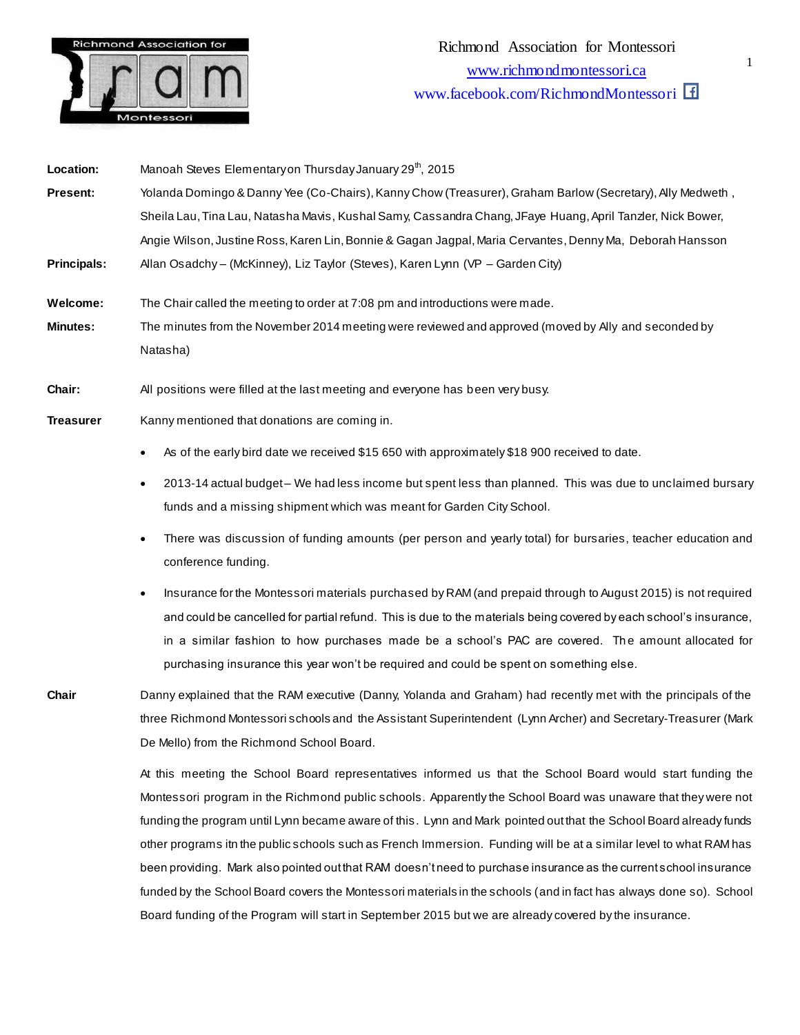

| Location:          | Manoah Steves Elementary on Thursday January 29 <sup>th</sup> , 2015                                       |
|--------------------|------------------------------------------------------------------------------------------------------------|
| <b>Present:</b>    | Yolanda Domingo & Danny Yee (Co-Chairs), Kanny Chow (Treasurer), Graham Barlow (Secretary), Ally Medweth,  |
|                    | Sheila Lau, Tina Lau, Natasha Mavis, Kushal Samy, Cassandra Chang, JFaye Huang, April Tanzler, Nick Bower, |
|                    | Angie Wilson, Justine Ross, Karen Lin, Bonnie & Gagan Jagpal, Maria Cervantes, Denny Ma, Deborah Hansson   |
| <b>Principals:</b> | Allan Osadchy – (McKinney), Liz Taylor (Steves), Karen Lynn (VP – Garden City)                             |
| Welcome:           | The Chair called the meeting to order at 7:08 pm and introductions were made.                              |
|                    |                                                                                                            |

- **Minutes:** The minutes from the November 2014 meeting were reviewed and approved (moved by Ally and seconded by Natasha)
- **Chair:** All positions were filled at the last meeting and everyone has been very busy.
- **Treasurer** Kanny mentioned that donations are coming in.
	- As of the early bird date we received \$15 650 with approximately \$18 900 received to date.
	- 2013-14 actual budget We had less income but spent less than planned. This was due to unclaimed bursary funds and a missing shipment which was meant for Garden City School.
	- There was discussion of funding amounts (per person and yearly total) for bursaries, teacher education and conference funding.
	- Insurance for the Montessori materials purchased by RAM (and prepaid through to August 2015) is not required and could be cancelled for partial refund. This is due to the materials being covered by each school's insurance, in a similar fashion to how purchases made be a school's PAC are covered. The amount allocated for purchasing insurance this year won't be required and could be spent on something else.

**Chair** Danny explained that the RAM executive (Danny, Yolanda and Graham) had recently met with the principals of the three Richmond Montessori schools and the Assistant Superintendent (Lynn Archer) and Secretary-Treasurer (Mark De Mello) from the Richmond School Board.

> At this meeting the School Board representatives informed us that the School Board would start funding the Montessori program in the Richmond public schools. Apparently the School Board was unaware that they were not funding the program until Lynn became aware of this. Lynn and Mark pointed out that the School Board already funds other programs itn the public schools such as French Immersion. Funding will be at a similar level to what RAM has been providing. Mark also pointed out that RAM doesn't need to purchase insurance as the current school insurance funded by the School Board covers the Montessori materials in the schools (and in fact has always done so). School Board funding of the Program will start in September 2015 but we are already covered by the insurance.